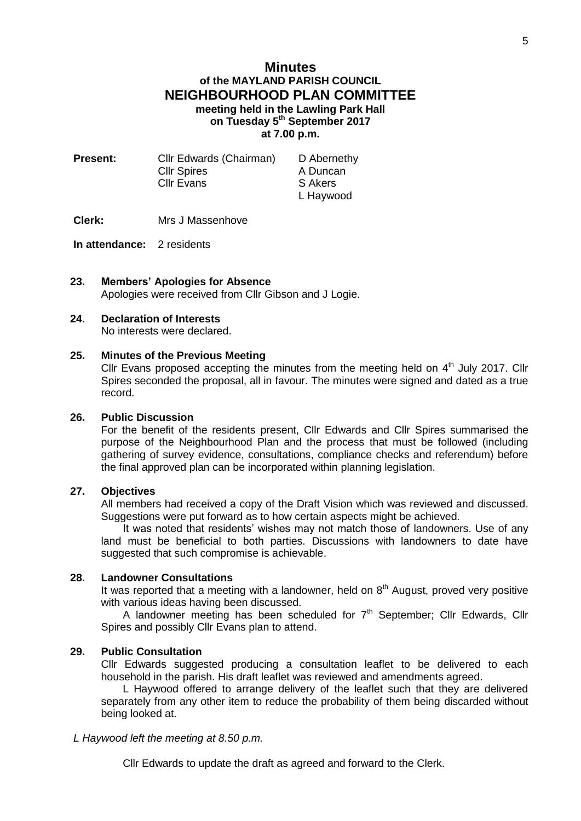# **Minutes of the MAYLAND PARISH COUNCIL NEIGHBOURHOOD PLAN COMMITTEE meeting held in the Lawling Park Hall on Tuesday 5 th September 2017 at 7.00 p.m.**

| <b>Present:</b> | Cllr Edwards (Chairman) | D Abernethy |
|-----------------|-------------------------|-------------|
|                 | <b>Cllr Spires</b>      | A Duncan    |
|                 | <b>CIIr Evans</b>       | S Akers     |
|                 |                         | L Haywood   |

**Clerk:** Mrs J Massenhove

**In attendance:** 2 residents

**23. Members' Apologies for Absence** Apologies were received from Cllr Gibson and J Logie.

## **24. Declaration of Interests**

No interests were declared.

### **25. Minutes of the Previous Meeting**

Cllr Evans proposed accepting the minutes from the meeting held on  $4<sup>th</sup>$  July 2017. Cllr Spires seconded the proposal, all in favour. The minutes were signed and dated as a true record.

#### **26. Public Discussion**

For the benefit of the residents present, Cllr Edwards and Cllr Spires summarised the purpose of the Neighbourhood Plan and the process that must be followed (including gathering of survey evidence, consultations, compliance checks and referendum) before the final approved plan can be incorporated within planning legislation.

#### **27. Objectives**

All members had received a copy of the Draft Vision which was reviewed and discussed. Suggestions were put forward as to how certain aspects might be achieved.

It was noted that residents' wishes may not match those of landowners. Use of any land must be beneficial to both parties. Discussions with landowners to date have suggested that such compromise is achievable.

## **28. Landowner Consultations**

It was reported that a meeting with a landowner, held on  $8<sup>th</sup>$  August, proved very positive with various ideas having been discussed.

A landowner meeting has been scheduled for  $7<sup>th</sup>$  September; Cllr Edwards, Cllr Spires and possibly Cllr Evans plan to attend.

## **29. Public Consultation**

Cllr Edwards suggested producing a consultation leaflet to be delivered to each household in the parish. His draft leaflet was reviewed and amendments agreed.

L Haywood offered to arrange delivery of the leaflet such that they are delivered separately from any other item to reduce the probability of them being discarded without being looked at.

#### *L Haywood left the meeting at 8.50 p.m.*

Cllr Edwards to update the draft as agreed and forward to the Clerk.